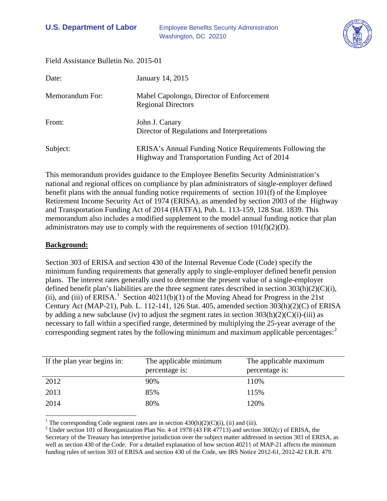

Field Assistance Bulletin No. 2015-01

| Date:           | January 14, 2015                                                                                           |
|-----------------|------------------------------------------------------------------------------------------------------------|
| Memorandum For: | Mabel Capolongo, Director of Enforcement<br><b>Regional Directors</b>                                      |
| From:           | John J. Canary<br>Director of Regulations and Interpretations                                              |
| Subject:        | ERISA's Annual Funding Notice Requirements Following the<br>Highway and Transportation Funding Act of 2014 |

This memorandum provides guidance to the Employee Benefits Security Administration's national and regional offices on compliance by plan administrators of single-employer defined benefit plans with the annual funding notice requirements of section 101(f) of the Employee Retirement Income Security Act of 1974 (ERISA), as amended by section 2003 of the Highway and Transportation Funding Act of 2014 (HATFA), Pub. L. 113-159, 128 Stat. 1839. This memorandum also includes a modified supplement to the model annual funding notice that plan administrators may use to comply with the requirements of section  $101(f)(2)(D)$ .

#### **Background:**

 $\overline{a}$ 

Section 303 of ERISA and section 430 of the Internal Revenue Code (Code) specify the minimum funding requirements that generally apply to single-employer defined benefit pension plans. The interest rates generally used to determine the present value of a single-employer defined benefit plan's liabilities are the three segment rates described in section 303(h)(2)(C)(i), (ii), and (iii) of ERISA.<sup>[1](#page-0-0)</sup> Section 40211(b)(1) of the Moving Ahead for Progress in the 21st Century Act (MAP-21), Pub. L. 112-141, 126 Stat. 405, amended section 303(h)(2)(C) of ERISA by adding a new subclause (iv) to adjust the segment rates in section  $303(h)(2)(C)(i)$ -(iii) as necessary to fall within a specified range, determined by multiplying the 25-year average of the corresponding segment rates by the following minimum and maximum applicable percentages:<sup>[2](#page-0-1)</sup>

| If the plan year begins in: | The applicable minimum<br>percentage is: | The applicable maximum<br>percentage is: |
|-----------------------------|------------------------------------------|------------------------------------------|
| 2012                        | 90%                                      | 110%                                     |
| 2013                        | 85%                                      | 115%                                     |
| 2014                        | 80%                                      | 120%                                     |

<span id="page-0-1"></span><span id="page-0-0"></span><sup>&</sup>lt;sup>1</sup> The corresponding Code segment rates are in section 430(h)(2)(C)(i), (ii) and (iii). <sup>2</sup> Under section 101 of Reorganization Plan No. 4 of 1978 (43 FR 47713) and section 3002(c) of ERISA, the Secretary of the Treasury has interpretive jurisdiction over the subject matter addressed in section 303 of ERISA, as well as section 430 of the Code. For a detailed explanation of how section 40211 of MAP-21 affects the minimum funding rules of section 303 of ERISA and section 430 of the Code, see IRS Notice 2012-61, 2012-42 I.R.B. 479.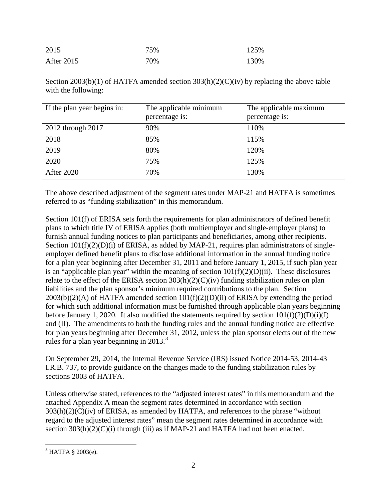| 2015       | 75% | 125% |
|------------|-----|------|
| After 2015 | 70% | 130% |

Section 2003(b)(1) of HATFA amended section  $303(h)(2)(C)(iv)$  by replacing the above table with the following:

| If the plan year begins in: | The applicable minimum<br>percentage is: | The applicable maximum<br>percentage is: |
|-----------------------------|------------------------------------------|------------------------------------------|
| 2012 through 2017           | 90%                                      | 110%                                     |
| 2018                        | 85%                                      | 115%                                     |
| 2019                        | 80%                                      | 120%                                     |
| 2020                        | 75%                                      | 125%                                     |
| <b>After 2020</b>           | 70%                                      | 130%                                     |

The above described adjustment of the segment rates under MAP-21 and HATFA is sometimes referred to as "funding stabilization" in this memorandum.

Section 101(f) of ERISA sets forth the requirements for plan administrators of defined benefit plans to which title IV of ERISA applies (both multiemployer and single-employer plans) to furnish annual funding notices to plan participants and beneficiaries, among other recipients. Section  $101(f)(2)(D)(i)$  of ERISA, as added by MAP-21, requires plan administrators of singleemployer defined benefit plans to disclose additional information in the annual funding notice for a plan year beginning after December 31, 2011 and before January 1, 2015, if such plan year is an "applicable plan year" within the meaning of section  $101(f)(2)(D)(ii)$ . These disclosures relate to the effect of the ERISA section  $303(h)(2)(C)(iv)$  funding stabilization rules on plan liabilities and the plan sponsor's minimum required contributions to the plan. Section 2003(b)(2)(A) of HATFA amended section 101(f)(2)(D)(ii) of ERISA by extending the period for which such additional information must be furnished through applicable plan years beginning before January 1, 2020. It also modified the statements required by section  $101(f)(2)(D)(i)(I)$ and (II). The amendments to both the funding rules and the annual funding notice are effective for plan years beginning after December 31, 2012, unless the plan sponsor elects out of the new rules for a plan year beginning in  $2013.<sup>3</sup>$  $2013.<sup>3</sup>$  $2013.<sup>3</sup>$ 

On September 29, 2014, the Internal Revenue Service (IRS) issued Notice 2014-53, 2014-43 I.R.B. 737, to provide guidance on the changes made to the funding stabilization rules by sections 2003 of HATFA.

Unless otherwise stated, references to the "adjusted interest rates" in this memorandum and the attached Appendix A mean the segment rates determined in accordance with section  $303(h)(2)(C)(iv)$  of ERISA, as amended by HATFA, and references to the phrase "without" regard to the adjusted interest rates" mean the segment rates determined in accordance with section  $303(h)(2)(C)(i)$  through (iii) as if MAP-21 and HATFA had not been enacted.

<span id="page-1-0"></span> $3$  HATFA § 2003(e).  $\overline{a}$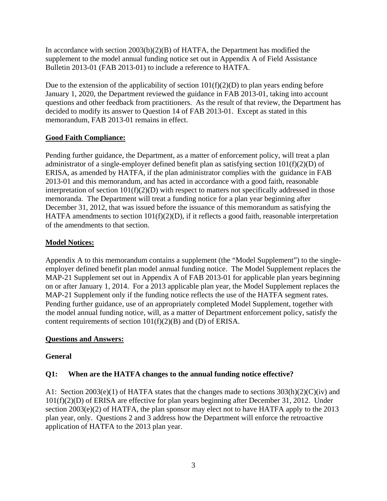In accordance with section  $2003(b)(2)(B)$  of HATFA, the Department has modified the supplement to the model annual funding notice set out in Appendix A of Field Assistance Bulletin 2013-01 (FAB 2013-01) to include a reference to HATFA.

Due to the extension of the applicability of section  $101(f)(2)(D)$  to plan years ending before January 1, 2020, the Department reviewed the guidance in FAB 2013-01, taking into account questions and other feedback from practitioners. As the result of that review, the Department has decided to modify its answer to Question 14 of FAB 2013-01. Except as stated in this memorandum, FAB 2013-01 remains in effect.

## **Good Faith Compliance:**

Pending further guidance, the Department, as a matter of enforcement policy, will treat a plan administrator of a single-employer defined benefit plan as satisfying section 101(f)(2)(D) of ERISA, as amended by HATFA, if the plan administrator complies with the guidance in FAB 2013-01 and this memorandum, and has acted in accordance with a good faith, reasonable interpretation of section  $101(f)(2)(D)$  with respect to matters not specifically addressed in those memoranda. The Department will treat a funding notice for a plan year beginning after December 31, 2012, that was issued before the issuance of this memorandum as satisfying the HATFA amendments to section 101(f)(2)(D), if it reflects a good faith, reasonable interpretation of the amendments to that section.

## **Model Notices:**

Appendix A to this memorandum contains a supplement (the "Model Supplement") to the singleemployer defined benefit plan model annual funding notice. The Model Supplement replaces the MAP-21 Supplement set out in Appendix A of FAB 2013-01 for applicable plan years beginning on or after January 1, 2014. For a 2013 applicable plan year, the Model Supplement replaces the MAP-21 Supplement only if the funding notice reflects the use of the HATFA segment rates. Pending further guidance, use of an appropriately completed Model Supplement, together with the model annual funding notice, will, as a matter of Department enforcement policy, satisfy the content requirements of section  $101(f)(2)(B)$  and (D) of ERISA.

## **Questions and Answers:**

## **General**

## **Q1: When are the HATFA changes to the annual funding notice effective?**

A1: Section 2003(e)(1) of HATFA states that the changes made to sections  $303(h)(2)(C)(iv)$  and 101(f)(2)(D) of ERISA are effective for plan years beginning after December 31, 2012. Under section 2003(e)(2) of HATFA, the plan sponsor may elect not to have HATFA apply to the 2013 plan year, only. Questions 2 and 3 address how the Department will enforce the retroactive application of HATFA to the 2013 plan year.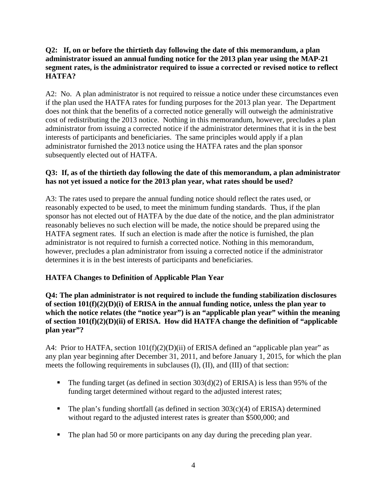### **Q2: If, on or before the thirtieth day following the date of this memorandum, a plan administrator issued an annual funding notice for the 2013 plan year using the MAP-21 segment rates, is the administrator required to issue a corrected or revised notice to reflect HATFA?**

A2: No. A plan administrator is not required to reissue a notice under these circumstances even if the plan used the HATFA rates for funding purposes for the 2013 plan year. The Department does not think that the benefits of a corrected notice generally will outweigh the administrative cost of redistributing the 2013 notice. Nothing in this memorandum, however, precludes a plan administrator from issuing a corrected notice if the administrator determines that it is in the best interests of participants and beneficiaries. The same principles would apply if a plan administrator furnished the 2013 notice using the HATFA rates and the plan sponsor subsequently elected out of HATFA.

## **Q3: If, as of the thirtieth day following the date of this memorandum, a plan administrator has not yet issued a notice for the 2013 plan year, what rates should be used?**

A3: The rates used to prepare the annual funding notice should reflect the rates used, or reasonably expected to be used, to meet the minimum funding standards. Thus, if the plan sponsor has not elected out of HATFA by the due date of the notice, and the plan administrator reasonably believes no such election will be made, the notice should be prepared using the HATFA segment rates. If such an election is made after the notice is furnished, the plan administrator is not required to furnish a corrected notice. Nothing in this memorandum, however, precludes a plan administrator from issuing a corrected notice if the administrator determines it is in the best interests of participants and beneficiaries.

# **HATFA Changes to Definition of Applicable Plan Year**

**Q4: The plan administrator is not required to include the funding stabilization disclosures of section 101(f)(2)(D)(i) of ERISA in the annual funding notice, unless the plan year to which the notice relates (the "notice year") is an "applicable plan year" within the meaning of section 101(f)(2)(D)(ii) of ERISA. How did HATFA change the definition of "applicable plan year"?** 

A4: Prior to HATFA, section  $101(f)(2)(D)(ii)$  of ERISA defined an "applicable plan year" as any plan year beginning after December 31, 2011, and before January 1, 2015, for which the plan meets the following requirements in subclauses (I), (II), and (III) of that section:

- The funding target (as defined in section  $303(d)(2)$  of ERISA) is less than 95% of the funding target determined without regard to the adjusted interest rates;
- The plan's funding shortfall (as defined in section  $303(c)(4)$  of ERISA) determined without regard to the adjusted interest rates is greater than \$500,000; and
- The plan had 50 or more participants on any day during the preceding plan year.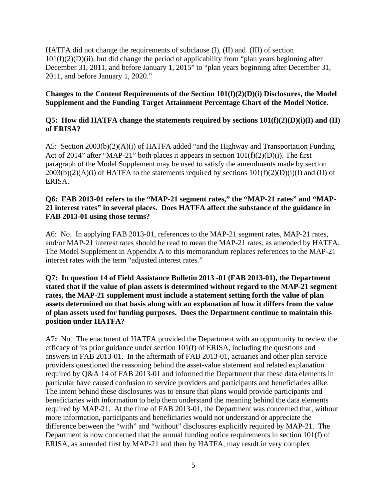HATFA did not change the requirements of subclause (I), (II) and (III) of section  $101(f)(2)(D)(ii)$ , but did change the period of applicability from "plan years beginning after December 31, 2011, and before January 1, 2015" to "plan years beginning after December 31, 2011, and before January 1, 2020."

#### **Changes to the Content Requirements of the Section 101(f)(2)(D)(i) Disclosures, the Model Supplement and the Funding Target Attainment Percentage Chart of the Model Notice.**

### **Q5: How did HATFA change the statements required by sections 101(f)(2)(D)(i)(I) and (II) of ERISA?**

A5: Section 2003(b)(2)(A)(i) of HATFA added "and the Highway and Transportation Funding Act of 2014" after "MAP-21" both places it appears in section 101(f)(2)(D)(i). The first paragraph of the Model Supplement may be used to satisfy the amendments made by section  $2003(b)(2)(A)(i)$  of HATFA to the statements required by sections  $101(f)(2)(D)(i)(I)$  and (II) of ERISA.

#### **Q6: FAB 2013-01 refers to the "MAP-21 segment rates," the "MAP-21 rates" and "MAP-21 interest rates" in several places. Does HATFA affect the substance of the guidance in FAB 2013-01 using those terms?**

A6: No. In applying FAB 2013-01, references to the MAP-21 segment rates, MAP-21 rates, and/or MAP-21 interest rates should be read to mean the MAP-21 rates, as amended by HATFA. The Model Supplement in Appendix A to this memorandum replaces references to the MAP-21 interest rates with the term "adjusted interest rates."

### **Q7: In question 14 of Field Assistance Bulletin 2013 -01 (FAB 2013-01), the Department stated that if the value of plan assets is determined without regard to the MAP-21 segment rates, the MAP-21 supplement must include a statement setting forth the value of plan assets determined on that basis along with an explanation of how it differs from the value of plan assets used for funding purposes. Does the Department continue to maintain this position under HATFA?**

A7**:** No. The enactment of HATFA provided the Department with an opportunity to review the efficacy of its prior guidance under section 101(f) of ERISA, including the questions and answers in FAB 2013-01. In the aftermath of FAB 2013-01, actuaries and other plan service providers questioned the reasoning behind the asset-value statement and related explanation required by Q&A 14 of FAB 2013-01 and informed the Department that these data elements in particular have caused confusion to service providers and participants and beneficiaries alike. The intent behind these disclosures was to ensure that plans would provide participants and beneficiaries with information to help them understand the meaning behind the data elements required by MAP-21. At the time of FAB 2013-01, the Department was concerned that, without more information, participants and beneficiaries would not understand or appreciate the difference between the "with" and "without" disclosures explicitly required by MAP-21. The Department is now concerned that the annual funding notice requirements in section 101(f) of ERISA, as amended first by MAP-21 and then by HATFA, may result in very complex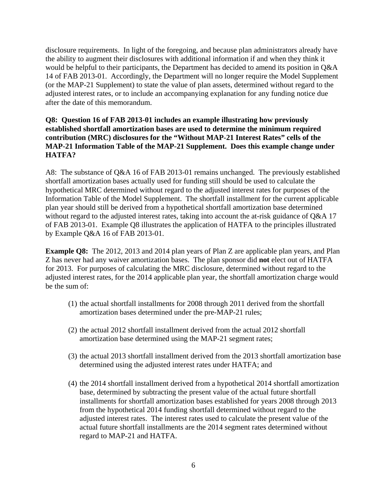disclosure requirements. In light of the foregoing, and because plan administrators already have the ability to augment their disclosures with additional information if and when they think it would be helpful to their participants, the Department has decided to amend its position in Q&A 14 of FAB 2013-01. Accordingly, the Department will no longer require the Model Supplement (or the MAP-21 Supplement) to state the value of plan assets, determined without regard to the adjusted interest rates, or to include an accompanying explanation for any funding notice due after the date of this memorandum.

### **Q8: Question 16 of FAB 2013-01 includes an example illustrating how previously established shortfall amortization bases are used to determine the minimum required contribution (MRC) disclosures for the "Without MAP-21 Interest Rates" cells of the MAP-21 Information Table of the MAP-21 Supplement. Does this example change under HATFA?**

A8: The substance of Q&A 16 of FAB 2013-01 remains unchanged. The previously established shortfall amortization bases actually used for funding still should be used to calculate the hypothetical MRC determined without regard to the adjusted interest rates for purposes of the Information Table of the Model Supplement. The shortfall installment for the current applicable plan year should still be derived from a hypothetical shortfall amortization base determined without regard to the adjusted interest rates, taking into account the at-risk guidance of Q&A 17 of FAB 2013-01. Example Q8 illustrates the application of HATFA to the principles illustrated by Example Q&A 16 of FAB 2013-01.

**Example Q8:** The 2012, 2013 and 2014 plan years of Plan Z are applicable plan years, and Plan Z has never had any waiver amortization bases. The plan sponsor did **not** elect out of HATFA for 2013. For purposes of calculating the MRC disclosure, determined without regard to the adjusted interest rates, for the 2014 applicable plan year, the shortfall amortization charge would be the sum of:

- (1) the actual shortfall installments for 2008 through 2011 derived from the shortfall amortization bases determined under the pre-MAP-21 rules;
- (2) the actual 2012 shortfall installment derived from the actual 2012 shortfall amortization base determined using the MAP-21 segment rates;
- (3) the actual 2013 shortfall installment derived from the 2013 shortfall amortization base determined using the adjusted interest rates under HATFA; and
- (4) the 2014 shortfall installment derived from a hypothetical 2014 shortfall amortization base, determined by subtracting the present value of the actual future shortfall installments for shortfall amortization bases established for years 2008 through 2013 from the hypothetical 2014 funding shortfall determined without regard to the adjusted interest rates. The interest rates used to calculate the present value of the actual future shortfall installments are the 2014 segment rates determined without regard to MAP-21 and HATFA.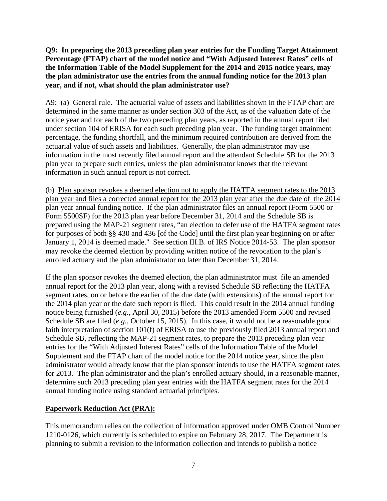**Q9: In preparing the 2013 preceding plan year entries for the Funding Target Attainment Percentage (FTAP) chart of the model notice and "With Adjusted Interest Rates" cells of the Information Table of the Model Supplement for the 2014 and 2015 notice years, may the plan administrator use the entries from the annual funding notice for the 2013 plan year, and if not, what should the plan administrator use?**

A9: (a) General rule. The actuarial value of assets and liabilities shown in the FTAP chart are determined in the same manner as under section 303 of the Act, as of the valuation date of the notice year and for each of the two preceding plan years, as reported in the annual report filed under section 104 of ERISA for each such preceding plan year. The funding target attainment percentage, the funding shortfall, and the minimum required contribution are derived from the actuarial value of such assets and liabilities. Generally, the plan administrator may use information in the most recently filed annual report and the attendant Schedule SB for the 2013 plan year to prepare such entries, unless the plan administrator knows that the relevant information in such annual report is not correct.

(b) Plan sponsor revokes a deemed election not to apply the HATFA segment rates to the 2013 plan year and files a corrected annual report for the 2013 plan year after the due date of the 2014 plan year annual funding notice. If the plan administrator files an annual report (Form 5500 or Form 5500SF) for the 2013 plan year before December 31, 2014 and the Schedule SB is prepared using the MAP-21 segment rates, "an election to defer use of the HATFA segment rates for purposes of both §§ 430 and 436 [of the Code] until the first plan year beginning on or after January 1, 2014 is deemed made." See section III.B. of IRS Notice 2014-53. The plan sponsor may revoke the deemed election by providing written notice of the revocation to the plan's enrolled actuary and the plan administrator no later than December 31, 2014.

If the plan sponsor revokes the deemed election, the plan administrator must file an amended annual report for the 2013 plan year, along with a revised Schedule SB reflecting the HATFA segment rates, on or before the earlier of the due date (with extensions) of the annual report for the 2014 plan year or the date such report is filed. This could result in the 2014 annual funding notice being furnished (*e.g.*, April 30, 2015) before the 2013 amended Form 5500 and revised Schedule SB are filed (*e.g.*, October 15, 2015). In this case, it would not be a reasonable good faith interpretation of section 101(f) of ERISA to use the previously filed 2013 annual report and Schedule SB, reflecting the MAP-21 segment rates, to prepare the 2013 preceding plan year entries for the "With Adjusted Interest Rates" cells of the Information Table of the Model Supplement and the FTAP chart of the model notice for the 2014 notice year, since the plan administrator would already know that the plan sponsor intends to use the HATFA segment rates for 2013. The plan administrator and the plan's enrolled actuary should, in a reasonable manner, determine such 2013 preceding plan year entries with the HATFA segment rates for the 2014 annual funding notice using standard actuarial principles.

# **Paperwork Reduction Act (PRA):**

This memorandum relies on the collection of information approved under OMB Control Number 1210-0126, which currently is scheduled to expire on February 28, 2017. The Department is planning to submit a revision to the information collection and intends to publish a notice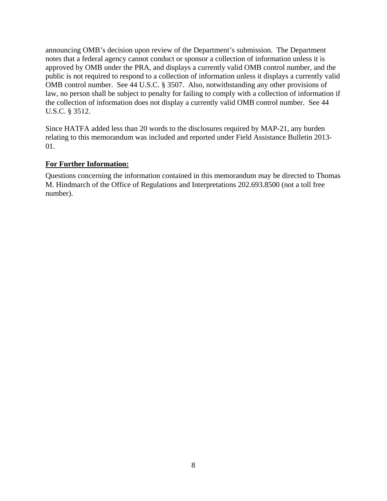announcing OMB's decision upon review of the Department's submission. The Department notes that a federal agency cannot conduct or sponsor a collection of information unless it is approved by OMB under the PRA, and displays a currently valid OMB control number, and the public is not required to respond to a collection of information unless it displays a currently valid OMB control number. See 44 U.S.C. § 3507. Also, notwithstanding any other provisions of law, no person shall be subject to penalty for failing to comply with a collection of information if the collection of information does not display a currently valid OMB control number. See 44 U.S.C. § 3512.

Since HATFA added less than 20 words to the disclosures required by MAP-21, any burden relating to this memorandum was included and reported under Field Assistance Bulletin 2013- 01.

## **For Further Information:**

Questions concerning the information contained in this memorandum may be directed to Thomas M. Hindmarch of the Office of Regulations and Interpretations 202.693.8500 (not a toll free number).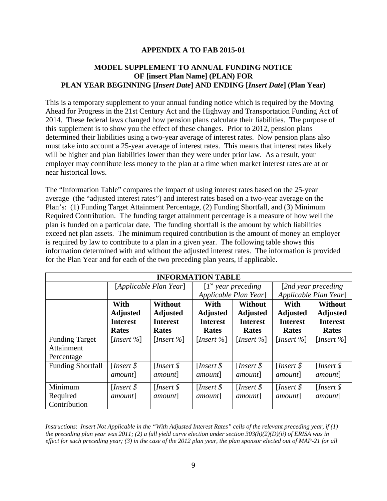### **APPENDIX A TO FAB 2015-01**

## **MODEL SUPPLEMENT TO ANNUAL FUNDING NOTICE OF [insert Plan Name] (PLAN) FOR PLAN YEAR BEGINNING [***Insert Date***] AND ENDING [***Insert Date***] (Plan Year)**

This is a temporary supplement to your annual funding notice which is required by the Moving Ahead for Progress in the 21st Century Act and the Highway and Transportation Funding Act of 2014. These federal laws changed how pension plans calculate their liabilities. The purpose of this supplement is to show you the effect of these changes. Prior to 2012, pension plans determined their liabilities using a two-year average of interest rates. Now pension plans also must take into account a 25-year average of interest rates. This means that interest rates likely will be higher and plan liabilities lower than they were under prior law. As a result, your employer may contribute less money to the plan at a time when market interest rates are at or near historical lows.

The "Information Table" compares the impact of using interest rates based on the 25-year average (the "adjusted interest rates") and interest rates based on a two-year average on the Plan's: (1) Funding Target Attainment Percentage, (2) Funding Shortfall, and (3) Minimum Required Contribution. The funding target attainment percentage is a measure of how well the plan is funded on a particular date. The funding shortfall is the amount by which liabilities exceed net plan assets. The minimum required contribution is the amount of money an employer is required by law to contribute to a plan in a given year. The following table shows this information determined with and without the adjusted interest rates. The information is provided for the Plan Year and for each of the two preceding plan years, if applicable.

| <b>INFORMATION TABLE</b> |                         |                         |                         |                         |                         |                         |  |
|--------------------------|-------------------------|-------------------------|-------------------------|-------------------------|-------------------------|-------------------------|--|
|                          | [Applicable Plan Year]  |                         | $[Ist$ year preceding   |                         | [2nd year preceding]    |                         |  |
|                          |                         |                         | Applicable Plan Year]   |                         | Applicable Plan Year]   |                         |  |
|                          | With                    | <b>Without</b>          | With                    | <b>Without</b>          | With                    | <b>Without</b>          |  |
|                          | <b>Adjusted</b>         | <b>Adjusted</b>         | <b>Adjusted</b>         | <b>Adjusted</b>         | <b>Adjusted</b>         | <b>Adjusted</b>         |  |
|                          | <b>Interest</b>         | <b>Interest</b>         | <b>Interest</b>         | <b>Interest</b>         | <b>Interest</b>         | <b>Interest</b>         |  |
|                          | <b>Rates</b>            | <b>Rates</b>            | <b>Rates</b>            | Rates                   | <b>Rates</b>            | <b>Rates</b>            |  |
| <b>Funding Target</b>    | [ <i>Insert</i> $%$ ]   | [ <i>Insert</i> $%$ ]   | [ <i>Insert</i> $\%$ ]  | [ <i>Insert</i> $%$ ]   | [ <i>Insert</i> $%$ ]   | [ <i>Insert</i> $%$ ]   |  |
| Attainment               |                         |                         |                         |                         |                         |                         |  |
| Percentage               |                         |                         |                         |                         |                         |                         |  |
| <b>Funding Shortfall</b> | [ <i>Insert</i> $\oint$ | [ <i>Insert</i> $\oint$ | [ <i>Insert</i> $\oint$ | [ <i>Insert</i> $\oint$ | [ <i>Insert</i> $\oint$ | [ <i>Insert</i> $\oint$ |  |
|                          | <i>amount</i> ]         | <i>amount</i> ]         | <i>amount</i> ]         | <i>amount</i> ]         | <i>amount</i> ]         | <i>amount</i> ]         |  |
| Minimum                  | [ <i>Insert</i> $\oint$ | [ <i>Insert</i> $\oint$ | [ <i>Insert</i> $\oint$ | [ <i>Insert</i> $\oint$ | [ <i>Insert</i> $\oint$ | [ <i>Insert</i> $\oint$ |  |
| Required                 | <i>amount</i> ]         | <i>amount</i> ]         | <i>amount</i> ]         | <i>amount</i>           | <i>amount</i> ]         | <i>amount</i> ]         |  |
| Contribution             |                         |                         |                         |                         |                         |                         |  |

*Instructions*: *Insert Not Applicable in the "With Adjusted Interest Rates" cells of the relevant preceding year, if (1) the preceding plan year was 2011; (2) a full yield curve election under section 303(h)(2)(D)(ii) of ERISA was in effect for such preceding year; (3) in the case of the 2012 plan year, the plan sponsor elected out of MAP-21 for all*